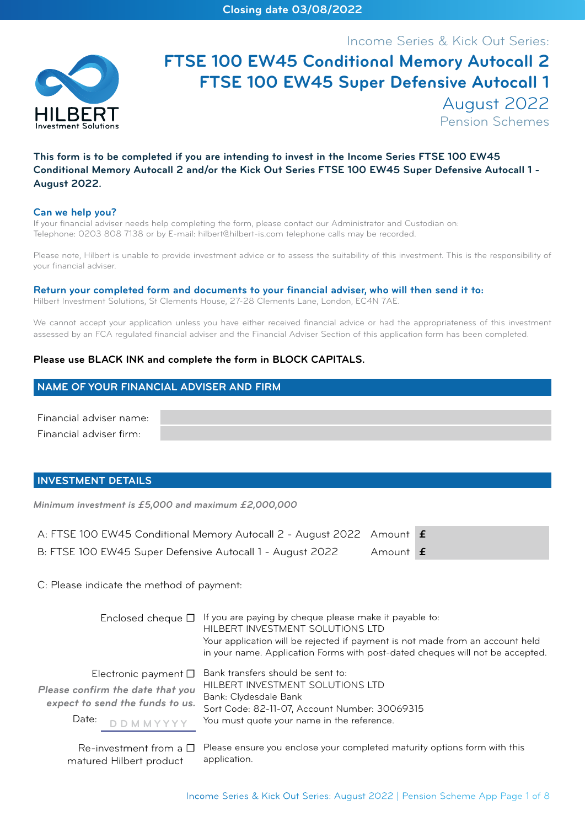Income Series & Kick Out Series:



# **FTSE 100 EW45 Conditional Memory Autocall 2 FTSE 100 EW45 Super Defensive Autocall 1** August 2022 Pension Schemes

# **This form is to be completed if you are intending to invest in the Income Series FTSE 100 EW45 Conditional Memory Autocall 2 and/or the Kick Out Series FTSE 100 EW45 Super Defensive Autocall 1 - August 2022.**

#### **Can we help you?**

If your financial adviser needs help completing the form, please contact our Administrator and Custodian on: Telephone: 0203 808 7138 or by E-mail: hilbert@hilbert-is.com telephone calls may be recorded.

Please note, Hilbert is unable to provide investment advice or to assess the suitability of this investment. This is the responsibility of your financial adviser.

#### **Return your completed form and documents to your financial adviser, who will then send it to:**

Hilbert Investment Solutions, St Clements House, 27-28 Clements Lane, London, EC4N 7AE.

We cannot accept your application unless you have either received financial advice or had the appropriateness of this investment assessed by an FCA regulated financial adviser and the Financial Adviser Section of this application form has been completed.

#### **Please use BLACK INK and complete the form in BLOCK CAPITALS.**

# **NAME OF YOUR FINANCIAL ADVISER AND FIRM**

Financial adviser name: Financial adviser firm:

#### **INVESTMENT DETAILS**

*Minimum investment is £5,000 and maximum £2,000,000*

| A: FTSE 100 EW45 Conditional Memory Autocall 2 - August 2022 Amount <b>f</b> |          |  |
|------------------------------------------------------------------------------|----------|--|
| B: FTSE 100 EW45 Super Defensive Autocall 1 - August 2022                    | Amount f |  |

C: Please indicate the method of payment:

|                                                                                                                                 | Enclosed cheque $\Box$ If you are paying by cheque please make it payable to:<br>HILBERT INVESTMENT SOLUTIONS LTD<br>Your application will be rejected if payment is not made from an account held<br>in your name. Application Forms with post-dated cheques will not be accepted. |
|---------------------------------------------------------------------------------------------------------------------------------|-------------------------------------------------------------------------------------------------------------------------------------------------------------------------------------------------------------------------------------------------------------------------------------|
| Electronic payment $\square$<br>Please confirm the date that you<br>expect to send the funds to us.<br>Date:<br><b>DDMMYYYY</b> | Bank transfers should be sent to:<br>HILBERT INVESTMENT SOLUTIONS LTD<br>Bank: Clydesdale Bank<br>Sort Code: 82-11-07, Account Number: 30069315<br>You must quote your name in the reference.                                                                                       |
|                                                                                                                                 | $Ra$ -investment from a $\Pi$ Please ensure you enclose your completed maturity options form with this                                                                                                                                                                              |

Re-investment from a  $\Box$ matured Hilbert product Please ensure you enclose your completed maturity options form with this application.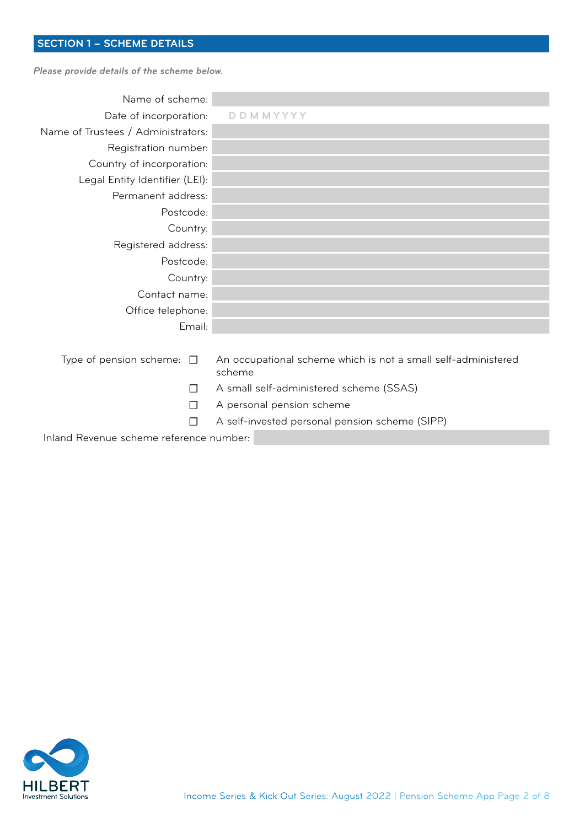# **SECTION 1 – SCHEME DETAILS**

*Please provide details of the scheme below.*

| Name of scheme:                    |                                                                         |
|------------------------------------|-------------------------------------------------------------------------|
| Date of incorporation:             | DDMMYYYY                                                                |
| Name of Trustees / Administrators: |                                                                         |
| Registration number:               |                                                                         |
| Country of incorporation:          |                                                                         |
| Legal Entity Identifier (LEI):     |                                                                         |
| Permanent address:                 |                                                                         |
| Postcode:                          |                                                                         |
| Country:                           |                                                                         |
| Registered address:                |                                                                         |
| Postcode:                          |                                                                         |
| Country:                           |                                                                         |
| Contact name:                      |                                                                         |
| Office telephone:                  |                                                                         |
| Email:                             |                                                                         |
|                                    |                                                                         |
| Type of pension scheme: $\Box$     | An occupational scheme which is not a small self-administered<br>scheme |
|                                    | A small self-administered scheme (SSAS)                                 |

- □ A personal pension scheme
- ☐ A self-invested personal pension scheme (SIPP)

Inland Revenue scheme reference number:

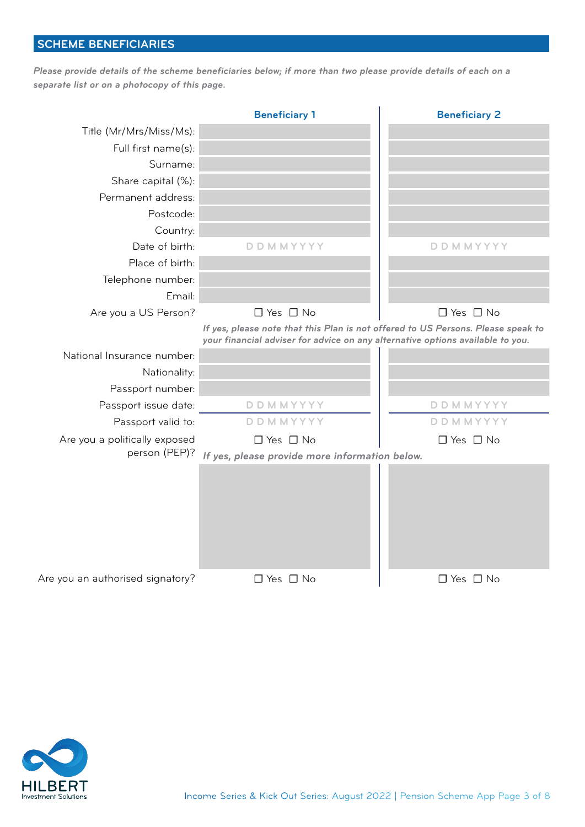# **SCHEME BENEFICIARIES**

*Please provide details of the scheme beneficiaries below; if more than two please provide details of each on a separate list or on a photocopy of this page.*

|                                  | <b>Beneficiary 1</b>                                                                                                                                               | <b>Beneficiary 2</b> |
|----------------------------------|--------------------------------------------------------------------------------------------------------------------------------------------------------------------|----------------------|
| Title (Mr/Mrs/Miss/Ms):          |                                                                                                                                                                    |                      |
| Full first name(s):              |                                                                                                                                                                    |                      |
| Surname:                         |                                                                                                                                                                    |                      |
| Share capital (%):               |                                                                                                                                                                    |                      |
| Permanent address:               |                                                                                                                                                                    |                      |
| Postcode:                        |                                                                                                                                                                    |                      |
| Country:                         |                                                                                                                                                                    |                      |
| Date of birth:                   | <b>DDMMYYYY</b>                                                                                                                                                    | <b>DDMMYYYY</b>      |
| Place of birth:                  |                                                                                                                                                                    |                      |
| Telephone number:                |                                                                                                                                                                    |                      |
| Email:                           |                                                                                                                                                                    |                      |
| Are you a US Person?             | $\Box$ Yes $\Box$ No                                                                                                                                               | $\Box$ Yes $\Box$ No |
|                                  | If yes, please note that this Plan is not offered to US Persons. Please speak to<br>your financial adviser for advice on any alternative options available to you. |                      |
| National Insurance number:       |                                                                                                                                                                    |                      |
| Nationality:                     |                                                                                                                                                                    |                      |
| Passport number:                 |                                                                                                                                                                    |                      |
| Passport issue date:             | <b>DDMMYYYY</b>                                                                                                                                                    | <b>DDMMYYYY</b>      |
| Passport valid to:               | <b>DDMMYYYY</b>                                                                                                                                                    | <b>DDMMYYYY</b>      |
| Are you a politically exposed    | $\Box$ Yes $\Box$ No                                                                                                                                               | $\Box$ Yes $\Box$ No |
| person (PEP)?                    | If yes, please provide more information below.                                                                                                                     |                      |
|                                  |                                                                                                                                                                    |                      |
| Are you an authorised signatory? | $\Box$ Yes $\Box$ No                                                                                                                                               | $\Box$ Yes $\Box$ No |

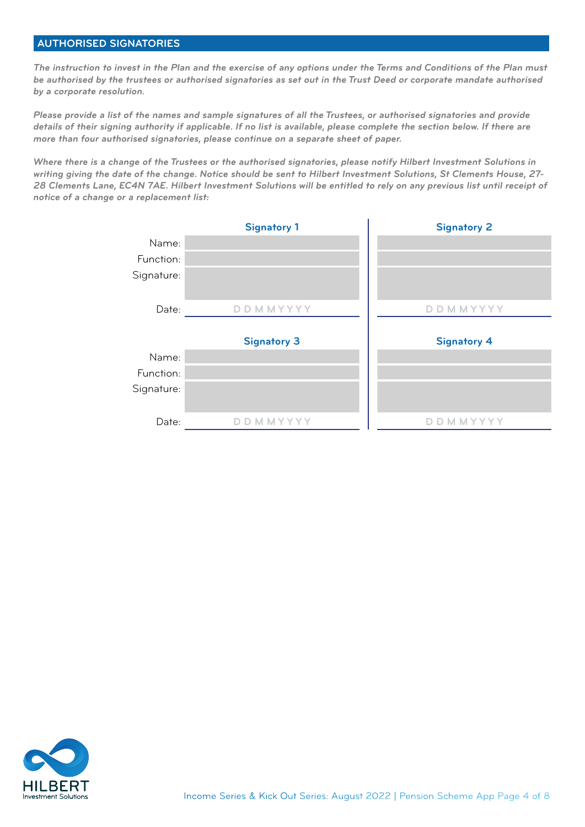# **AUTHORISED SIGNATORIES**

*The instruction to invest in the Plan and the exercise of any options under the Terms and Conditions of the Plan must be authorised by the trustees or authorised signatories as set out in the Trust Deed or corporate mandate authorised by a corporate resolution.*

*Please provide a list of the names and sample signatures of all the Trustees, or authorised signatories and provide details of their signing authority if applicable. If no list is available, please complete the section below. If there are more than four authorised signatories, please continue on a separate sheet of paper.* 

*Where there is a change of the Trustees or the authorised signatories, please notify Hilbert Investment Solutions in writing giving the date of the change. Notice should be sent to Hilbert Investment Solutions, St Clements House, 27- 28 Clements Lane, EC4N 7AE. Hilbert Investment Solutions will be entitled to rely on any previous list until receipt of notice of a change or a replacement list:*

|            | <b>Signatory 1</b>     | <b>Signatory 2</b> |
|------------|------------------------|--------------------|
| Name:      |                        |                    |
| Function:  |                        |                    |
| Signature: |                        |                    |
| Date:      | <b>D D M M Y Y Y Y</b> | D D M M Y Y Y Y    |
|            |                        |                    |
|            | <b>Signatory 3</b>     | <b>Signatory 4</b> |
| Name:      |                        |                    |
| Function:  |                        |                    |
| Signature: |                        |                    |
| Date:      | <b>DDMMYYYY</b>        | <b>DDMMYYYY</b>    |
|            |                        |                    |

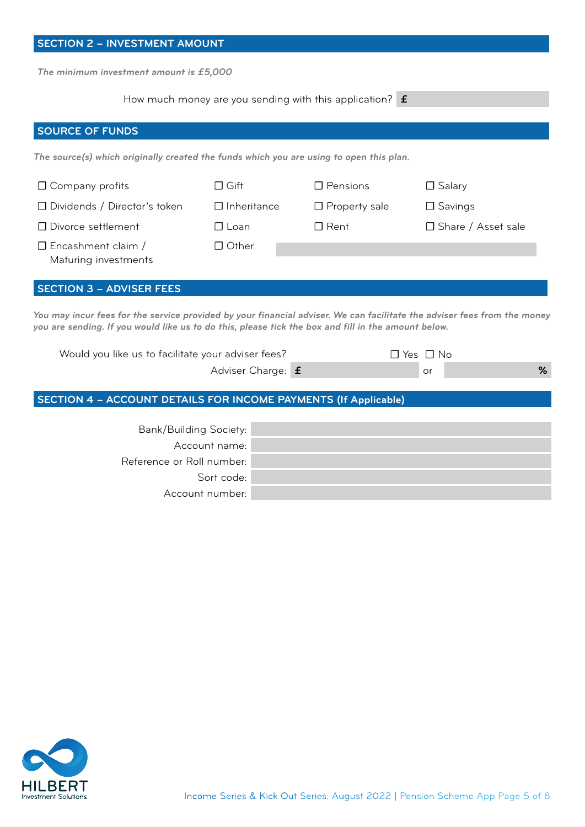| <b>SECTION 2 - INVESTMENT AMOUNT</b>                                                                                                                                                                                            |                                         |                                                                   |                      |
|---------------------------------------------------------------------------------------------------------------------------------------------------------------------------------------------------------------------------------|-----------------------------------------|-------------------------------------------------------------------|----------------------|
|                                                                                                                                                                                                                                 | The minimum investment amount is £5,000 |                                                                   |                      |
|                                                                                                                                                                                                                                 |                                         | How much money are you sending with this application? $\mathbf f$ |                      |
|                                                                                                                                                                                                                                 |                                         |                                                                   |                      |
| <b>SOURCE OF FUNDS</b>                                                                                                                                                                                                          |                                         |                                                                   |                      |
| The source(s) which originally created the funds which you are using to open this plan.                                                                                                                                         |                                         |                                                                   |                      |
| $\Box$ Company profits                                                                                                                                                                                                          | $\Box$ Gift                             | $\Box$ Pensions                                                   | $\Box$ Salary        |
| □ Dividends / Director's token                                                                                                                                                                                                  | $\Box$ Inheritance                      | $\Box$ Property sale                                              | $\Box$ Savings       |
| □ Divorce settlement                                                                                                                                                                                                            | $\Box$ Loan                             | $\Box$ Rent                                                       | □ Share / Asset sale |
| $\Box$ Encashment claim /<br>Maturing investments                                                                                                                                                                               | $\Box$ Other                            |                                                                   |                      |
| <b>SECTION 3 - ADVISER FEES</b>                                                                                                                                                                                                 |                                         |                                                                   |                      |
| You may incur fees for the service provided by your financial adviser. We can facilitate the adviser fees from the money<br>you are sending. If you would like us to do this, please tick the box and fill in the amount below. |                                         |                                                                   |                      |
| Would you like us to facilitate your adviser fees?                                                                                                                                                                              |                                         |                                                                   | $\Box$ Yes $\Box$ No |
|                                                                                                                                                                                                                                 | Adviser Charge: f                       |                                                                   | %<br>or              |
| <b>SECTION 4 - ACCOUNT DETAILS FOR INCOME PAYMENTS (If Applicable)</b>                                                                                                                                                          |                                         |                                                                   |                      |
| Bank/Building Society:                                                                                                                                                                                                          |                                         |                                                                   |                      |

| Bank/Building Society:    |
|---------------------------|
| Account name:             |
| Reference or Roll number: |
| Sort code:                |
| Account number:           |

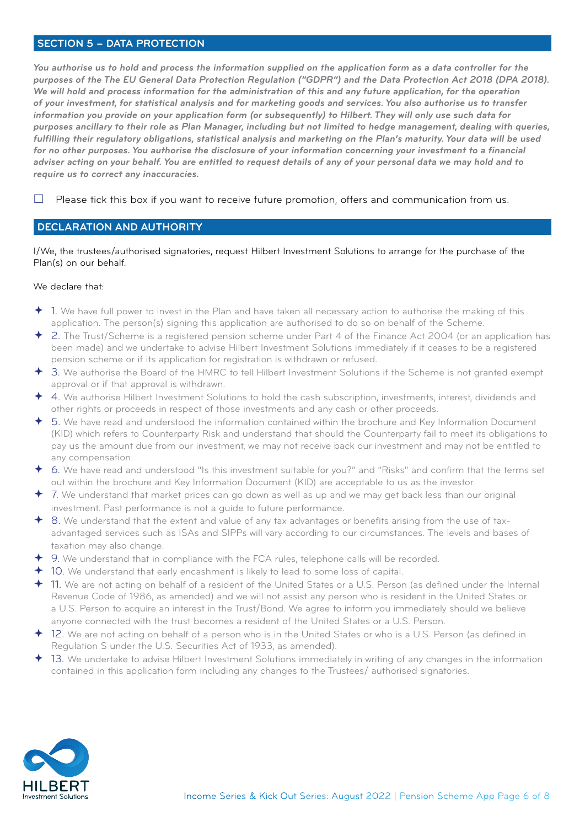## **SECTION 5 – DATA PROTECTION**

*You authorise us to hold and process the information supplied on the application form as a data controller for the* purposes of the The EU General Data Protection Regulation ("GDPR") and the Data Protection Act 2018 (DPA 2018). We will hold and process information for the administration of this and any future application, for the operation *of your investment, for statistical analysis and for marketing goods and services. You also authorise us to transfer information you provide on your application form (or subsequently) to Hilbert. They will only use such data for purposes ancillary to their role as Plan Manager, including but not limited to hedge management, dealing with queries, fulfilling their regulatory obligations, statistical analysis and marketing on the Plan's maturity. Your data will be used for no other purposes. You authorise the disclosure of your information concerning your investment to a financial adviser acting on your behalf. You are entitled to request details of any of your personal data we may hold and to require us to correct any inaccuracies.*

 $\Box$  Please tick this box if you want to receive future promotion, offers and communication from us.

# **DECLARATION AND AUTHORITY**

I/We, the trustees/authorised signatories, request Hilbert Investment Solutions to arrange for the purchase of the Plan(s) on our behalf.

#### We declare that:

- 1. We have full power to invest in the Plan and have taken all necessary action to authorise the making of this application. The person(s) signing this application are authorised to do so on behalf of the Scheme.
- 2. The Trust/Scheme is a registered pension scheme under Part 4 of the Finance Act 2004 (or an application has been made) and we undertake to advise Hilbert Investment Solutions immediately if it ceases to be a registered pension scheme or if its application for registration is withdrawn or refused.
- 3. We authorise the Board of the HMRC to tell Hilbert Investment Solutions if the Scheme is not granted exempt approval or if that approval is withdrawn.
- 4. We authorise Hilbert Investment Solutions to hold the cash subscription, investments, interest, dividends and other rights or proceeds in respect of those investments and any cash or other proceeds.
- 5. We have read and understood the information contained within the brochure and Key Information Document (KID) which refers to Counterparty Risk and understand that should the Counterparty fail to meet its obligations to pay us the amount due from our investment, we may not receive back our investment and may not be entitled to any compensation.
- 6. We have read and understood "Is this investment suitable for you?" and "Risks" and confirm that the terms set out within the brochure and Key Information Document (KID) are acceptable to us as the investor.
- 7. We understand that market prices can go down as well as up and we may get back less than our original investment. Past performance is not a guide to future performance.
- 8. We understand that the extent and value of any tax advantages or benefits arising from the use of taxadvantaged services such as ISAs and SIPPs will vary according to our circumstances. The levels and bases of taxation may also change.
- 9. We understand that in compliance with the FCA rules, telephone calls will be recorded.
- 10. We understand that early encashment is likely to lead to some loss of capital.
- 11. We are not acting on behalf of a resident of the United States or a U.S. Person (as defined under the Internal Revenue Code of 1986, as amended) and we will not assist any person who is resident in the United States or a U.S. Person to acquire an interest in the Trust/Bond. We agree to inform you immediately should we believe anyone connected with the trust becomes a resident of the United States or a U.S. Person.
- 12. We are not acting on behalf of a person who is in the United States or who is a U.S. Person (as defined in Regulation S under the U.S. Securities Act of 1933, as amended).
- 13. We undertake to advise Hilbert Investment Solutions immediately in writing of any changes in the information contained in this application form including any changes to the Trustees/ authorised signatories.

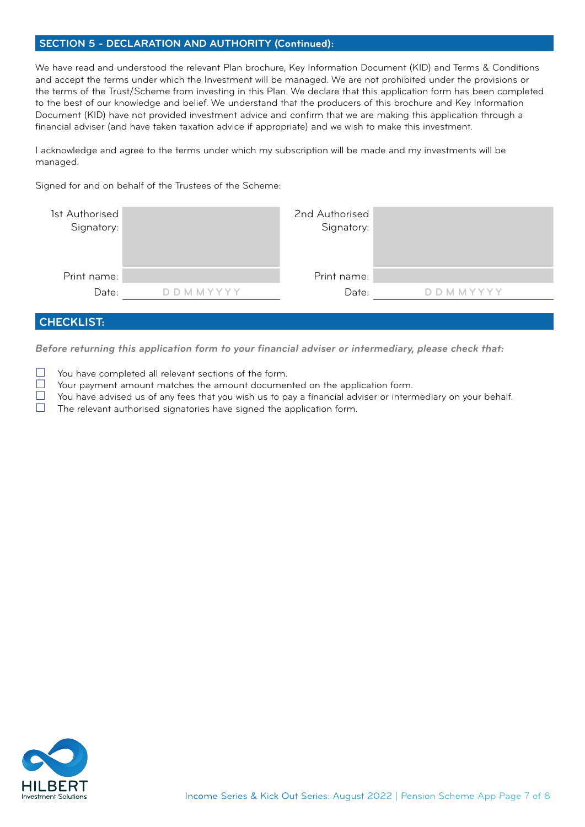# **SECTION 5 - DECLARATION AND AUTHORITY (Continued):**

We have read and understood the relevant Plan brochure, Key Information Document (KID) and Terms & Conditions and accept the terms under which the Investment will be managed. We are not prohibited under the provisions or the terms of the Trust/Scheme from investing in this Plan. We declare that this application form has been completed to the best of our knowledge and belief. We understand that the producers of this brochure and Key Information Document (KID) have not provided investment advice and confirm that we are making this application through a financial adviser (and have taken taxation advice if appropriate) and we wish to make this investment.

I acknowledge and agree to the terms under which my subscription will be made and my investments will be managed.

Signed for and on behalf of the Trustees of the Scheme:

| 1st Authorised<br>Signatory: |                 | 2nd Authorised<br>Signatory: |                        |
|------------------------------|-----------------|------------------------------|------------------------|
| Print name:                  |                 | Print name:                  |                        |
| Date:                        | <b>DDMMYYYY</b> | Date:                        | <b>D D M M Y Y Y Y</b> |
|                              |                 |                              |                        |
| <b>CHECKLIST:</b>            |                 |                              |                        |

*Before returning this application form to your financial adviser or intermediary, please check that:*

- $\Box$  You have completed all relevant sections of the form.<br> $\Box$  Your payment amount matches the amount documer
- $\Box$  Your payment amount matches the amount documented on the application form.<br> $\Box$  You have advised us of any fees that you wish us to pay a financial adviser or interr
- $\Box$  You have advised us of any fees that you wish us to pay a financial adviser or intermediary on your behalf.<br>
The relevant authorised signatories have signed the application form
- The relevant authorised signatories have signed the application form.